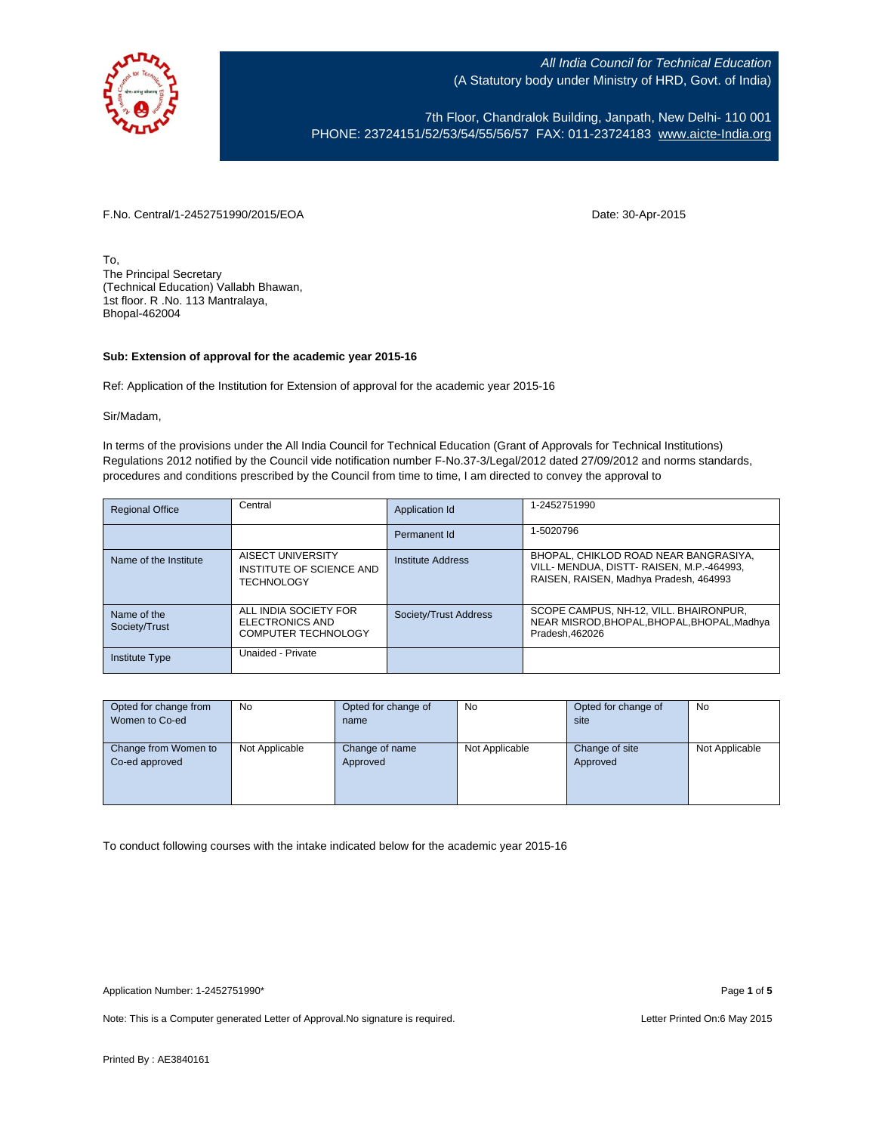

7th Floor, Chandralok Building, Janpath, New Delhi- 110 001 PHONE: 23724151/52/53/54/55/56/57 FAX: 011-23724183 [www.aicte-India.org](http://www.aicte-india.org/)

F.No. Central/1-2452751990/2015/EOA Date: 30-Apr-2015

To, The Principal Secretary (Technical Education) Vallabh Bhawan, 1st floor. R .No. 113 Mantralaya, Bhopal-462004

## **Sub: Extension of approval for the academic year 2015-16**

Ref: Application of the Institution for Extension of approval for the academic year 2015-16

Sir/Madam,

In terms of the provisions under the All India Council for Technical Education (Grant of Approvals for Technical Institutions) Regulations 2012 notified by the Council vide notification number F-No.37-3/Legal/2012 dated 27/09/2012 and norms standards, procedures and conditions prescribed by the Council from time to time, I am directed to convey the approval to

| <b>Regional Office</b>       | Central                                                                | Application Id        | 1-2452751990                                                                                                                 |
|------------------------------|------------------------------------------------------------------------|-----------------------|------------------------------------------------------------------------------------------------------------------------------|
|                              |                                                                        | Permanent Id          | 1-5020796                                                                                                                    |
| Name of the Institute        | AISECT UNIVERSITY<br>INSTITUTE OF SCIENCE AND<br><b>TECHNOLOGY</b>     | Institute Address     | BHOPAL, CHIKLOD ROAD NEAR BANGRASIYA,<br>VILL- MENDUA, DISTT- RAISEN, M.P.-464993,<br>RAISEN, RAISEN, Madhya Pradesh, 464993 |
| Name of the<br>Society/Trust | ALL INDIA SOCIETY FOR<br>ELECTRONICS AND<br><b>COMPUTER TECHNOLOGY</b> | Society/Trust Address | SCOPE CAMPUS, NH-12, VILL, BHAIRONPUR,<br>NEAR MISROD.BHOPAL.BHOPAL.BHOPAL.Madhva<br>Pradesh.462026                          |
| <b>Institute Type</b>        | Unaided - Private                                                      |                       |                                                                                                                              |

| Opted for change from | No             | Opted for change of | No             | Opted for change of | No             |
|-----------------------|----------------|---------------------|----------------|---------------------|----------------|
| Women to Co-ed        |                | name                |                | site                |                |
|                       |                |                     |                |                     |                |
| Change from Women to  | Not Applicable | Change of name      | Not Applicable | Change of site      | Not Applicable |
| Co-ed approved        |                | Approved            |                | Approved            |                |
|                       |                |                     |                |                     |                |
|                       |                |                     |                |                     |                |
|                       |                |                     |                |                     |                |

To conduct following courses with the intake indicated below for the academic year 2015-16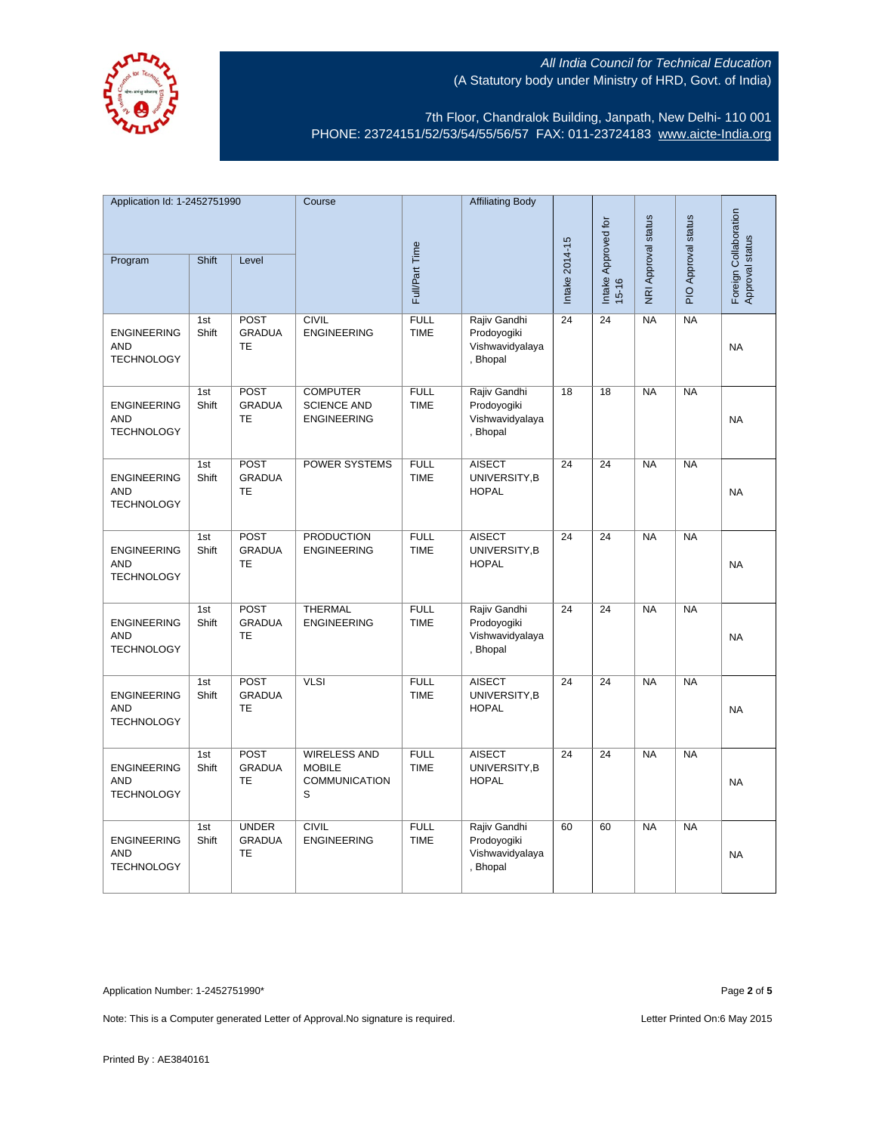

7th Floor, Chandralok Building, Janpath, New Delhi- 110 001 PHONE: 23724151/52/53/54/55/56/57 FAX: 011-23724183 [www.aicte-India.org](http://www.aicte-india.org/)

| Application Id: 1-2452751990                          |              | Course                                     |                                                                   | <b>Affiliating Body</b>    |                                                            |                 |                     |                     |                     |                                          |
|-------------------------------------------------------|--------------|--------------------------------------------|-------------------------------------------------------------------|----------------------------|------------------------------------------------------------|-----------------|---------------------|---------------------|---------------------|------------------------------------------|
| Program                                               | Shift        | Level                                      |                                                                   | Full/Part Time             |                                                            | Intake 2014-15  | Intake Approved for | NRI Approval status | PIO Approval status | Foreign Collaboration<br>Approval status |
|                                                       |              |                                            |                                                                   |                            |                                                            |                 | $15 - 16$           |                     |                     |                                          |
| <b>ENGINEERING</b><br><b>AND</b><br><b>TECHNOLOGY</b> | 1st<br>Shift | POST<br><b>GRADUA</b><br><b>TE</b>         | <b>CIVIL</b><br><b>ENGINEERING</b>                                | <b>FULL</b><br><b>TIME</b> | Rajiv Gandhi<br>Prodoyogiki<br>Vishwavidyalaya<br>, Bhopal | $\overline{24}$ | $\overline{24}$     | NA                  | NA                  | <b>NA</b>                                |
| <b>ENGINEERING</b><br><b>AND</b><br><b>TECHNOLOGY</b> | 1st<br>Shift | POST<br><b>GRADUA</b><br><b>TE</b>         | <b>COMPUTER</b><br><b>SCIENCE AND</b><br><b>ENGINEERING</b>       | <b>FULL</b><br><b>TIME</b> | Rajiv Gandhi<br>Prodoyogiki<br>Vishwavidyalaya<br>, Bhopal | 18              | 18                  | <b>NA</b>           | NA                  | <b>NA</b>                                |
| <b>ENGINEERING</b><br><b>AND</b><br><b>TECHNOLOGY</b> | 1st<br>Shift | POST<br><b>GRADUA</b><br>TE                | POWER SYSTEMS                                                     | <b>FULL</b><br><b>TIME</b> | <b>AISECT</b><br>UNIVERSITY, B<br><b>HOPAL</b>             | 24              | 24                  | <b>NA</b>           | <b>NA</b>           | <b>NA</b>                                |
| <b>ENGINEERING</b><br><b>AND</b><br><b>TECHNOLOGY</b> | 1st<br>Shift | POST<br><b>GRADUA</b><br>TE                | <b>PRODUCTION</b><br><b>ENGINEERING</b>                           | <b>FULL</b><br><b>TIME</b> | <b>AISECT</b><br>UNIVERSITY, B<br><b>HOPAL</b>             | $\overline{24}$ | 24                  | <b>NA</b>           | NA                  | <b>NA</b>                                |
| <b>ENGINEERING</b><br><b>AND</b><br><b>TECHNOLOGY</b> | 1st<br>Shift | POST<br><b>GRADUA</b><br>TE                | <b>THERMAL</b><br><b>ENGINEERING</b>                              | <b>FULL</b><br><b>TIME</b> | Rajiv Gandhi<br>Prodoyogiki<br>Vishwavidyalaya<br>, Bhopal | $\overline{24}$ | $\overline{24}$     | NA                  | NA                  | <b>NA</b>                                |
| <b>ENGINEERING</b><br><b>AND</b><br><b>TECHNOLOGY</b> | 1st<br>Shift | POST<br><b>GRADUA</b><br><b>TE</b>         | <b>VLSI</b>                                                       | <b>FULL</b><br><b>TIME</b> | AISECT<br>UNIVERSITY, B<br><b>HOPAL</b>                    | $\overline{24}$ | $\overline{24}$     | NA                  | NA                  | <b>NA</b>                                |
| <b>ENGINEERING</b><br><b>AND</b><br><b>TECHNOLOGY</b> | 1st<br>Shift | <b>POST</b><br><b>GRADUA</b><br><b>TE</b>  | <b>WIRELESS AND</b><br><b>MOBILE</b><br><b>COMMUNICATION</b><br>S | <b>FULL</b><br><b>TIME</b> | <b>AISECT</b><br>UNIVERSITY, B<br><b>HOPAL</b>             | $\overline{24}$ | $\overline{24}$     | NA                  | <b>NA</b>           | NA                                       |
| <b>ENGINEERING</b><br><b>AND</b><br><b>TECHNOLOGY</b> | 1st<br>Shift | <b>UNDER</b><br><b>GRADUA</b><br><b>TE</b> | <b>CIVIL</b><br><b>ENGINEERING</b>                                | <b>FULL</b><br><b>TIME</b> | Rajiv Gandhi<br>Prodoyogiki<br>Vishwavidyalaya<br>, Bhopal | 60              | 60                  | NA                  | NA                  | <b>NA</b>                                |

Application Number: 1-2452751990\* Page **2** of **5**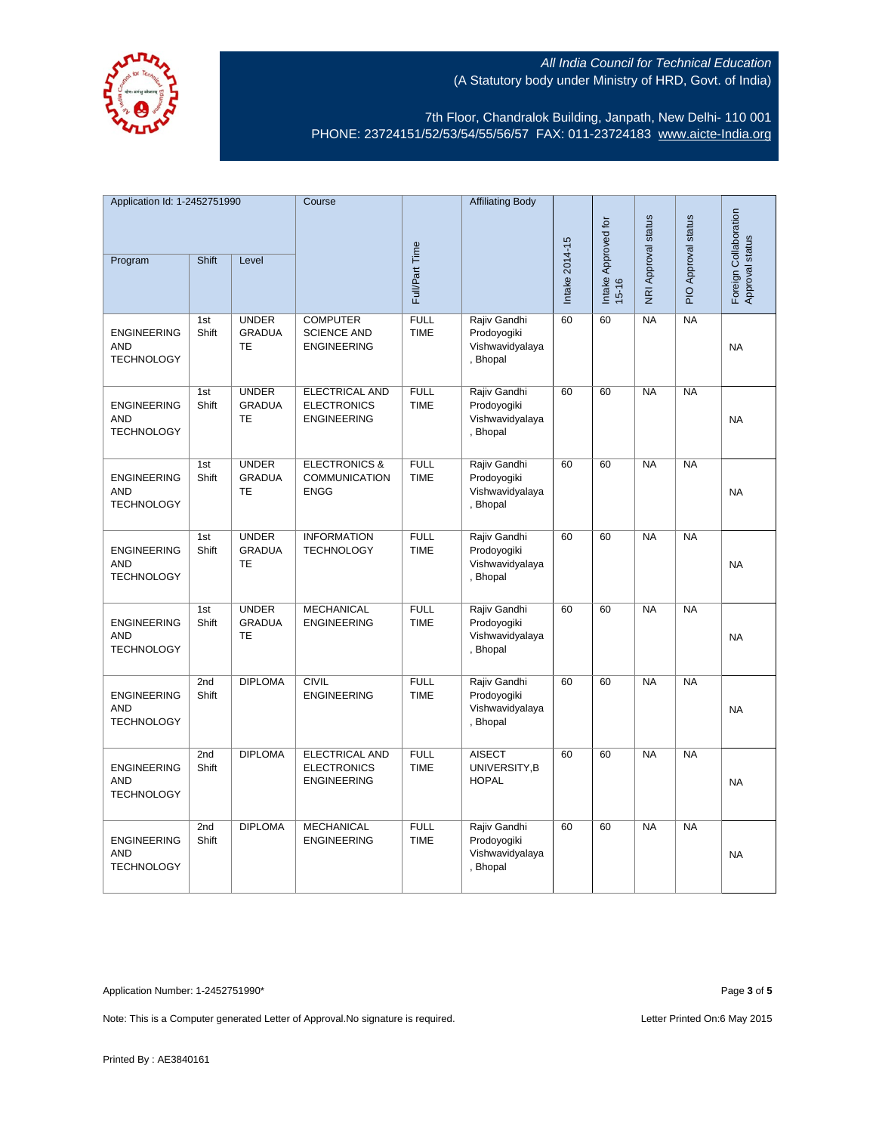

7th Floor, Chandralok Building, Janpath, New Delhi- 110 001 PHONE: 23724151/52/53/54/55/56/57 FAX: 011-23724183 [www.aicte-India.org](http://www.aicte-india.org/)

| Application Id: 1-2452751990                          |              |                                            | Course                                                            |                            | <b>Affiliating Body</b>                                    |                |                                  |                     |                     |                                          |
|-------------------------------------------------------|--------------|--------------------------------------------|-------------------------------------------------------------------|----------------------------|------------------------------------------------------------|----------------|----------------------------------|---------------------|---------------------|------------------------------------------|
| Program                                               | <b>Shift</b> | Level                                      |                                                                   | Full/Part Time             |                                                            | Intake 2014-15 | Intake Approved for<br>$15 - 16$ | NRI Approval status | PIO Approval status | Foreign Collaboration<br>Approval status |
| <b>ENGINEERING</b><br><b>AND</b><br><b>TECHNOLOGY</b> | 1st<br>Shift | <b>UNDER</b><br><b>GRADUA</b><br>TE        | <b>COMPUTER</b><br><b>SCIENCE AND</b><br><b>ENGINEERING</b>       | <b>FULL</b><br><b>TIME</b> | Rajiv Gandhi<br>Prodoyogiki<br>Vishwavidyalaya<br>, Bhopal | 60             | 60                               | <b>NA</b>           | <b>NA</b>           | <b>NA</b>                                |
| <b>ENGINEERING</b><br><b>AND</b><br><b>TECHNOLOGY</b> | 1st<br>Shift | <b>UNDER</b><br><b>GRADUA</b><br>TE        | ELECTRICAL AND<br><b>ELECTRONICS</b><br><b>ENGINEERING</b>        | <b>FULL</b><br><b>TIME</b> | Rajiv Gandhi<br>Prodoyogiki<br>Vishwavidyalaya<br>, Bhopal | 60             | 60                               | <b>NA</b>           | NA                  | <b>NA</b>                                |
| <b>ENGINEERING</b><br><b>AND</b><br><b>TECHNOLOGY</b> | 1st<br>Shift | <b>UNDER</b><br><b>GRADUA</b><br><b>TE</b> | <b>ELECTRONICS &amp;</b><br><b>COMMUNICATION</b><br><b>ENGG</b>   | <b>FULL</b><br><b>TIME</b> | Rajiv Gandhi<br>Prodoyogiki<br>Vishwavidyalaya<br>, Bhopal | 60             | 60                               | NA                  | NA                  | <b>NA</b>                                |
| <b>ENGINEERING</b><br><b>AND</b><br><b>TECHNOLOGY</b> | 1st<br>Shift | <b>UNDER</b><br><b>GRADUA</b><br><b>TE</b> | <b>INFORMATION</b><br><b>TECHNOLOGY</b>                           | <b>FULL</b><br><b>TIME</b> | Rajiv Gandhi<br>Prodoyogiki<br>Vishwavidyalaya<br>, Bhopal | 60             | 60                               | NA                  | NA                  | <b>NA</b>                                |
| <b>ENGINEERING</b><br><b>AND</b><br><b>TECHNOLOGY</b> | 1st<br>Shift | <b>UNDER</b><br><b>GRADUA</b><br>TE        | <b>MECHANICAL</b><br><b>ENGINEERING</b>                           | <b>FULL</b><br><b>TIME</b> | Rajiv Gandhi<br>Prodoyogiki<br>Vishwavidyalaya<br>, Bhopal | 60             | 60                               | <b>NA</b>           | NA                  | <b>NA</b>                                |
| <b>ENGINEERING</b><br><b>AND</b><br><b>TECHNOLOGY</b> | 2nd<br>Shift | <b>DIPLOMA</b>                             | <b>CIVIL</b><br><b>ENGINEERING</b>                                | <b>FULL</b><br><b>TIME</b> | Rajiv Gandhi<br>Prodoyogiki<br>Vishwavidyalaya<br>, Bhopal | 60             | 60                               | <b>NA</b>           | <b>NA</b>           | <b>NA</b>                                |
| <b>ENGINEERING</b><br><b>AND</b><br><b>TECHNOLOGY</b> | 2nd<br>Shift | <b>DIPLOMA</b>                             | <b>ELECTRICAL AND</b><br><b>ELECTRONICS</b><br><b>ENGINEERING</b> | <b>FULL</b><br><b>TIME</b> | <b>AISECT</b><br>UNIVERSITY, B<br><b>HOPAL</b>             | 60             | 60                               | <b>NA</b>           | <b>NA</b>           | <b>NA</b>                                |
| <b>ENGINEERING</b><br><b>AND</b><br><b>TECHNOLOGY</b> | 2nd<br>Shift | <b>DIPLOMA</b>                             | <b>MECHANICAL</b><br><b>ENGINEERING</b>                           | <b>FULL</b><br><b>TIME</b> | Rajiv Gandhi<br>Prodoyogiki<br>Vishwavidyalaya<br>, Bhopal | 60             | 60                               | NA                  | NA                  | <b>NA</b>                                |

Application Number: 1-2452751990\* Page **3** of **5**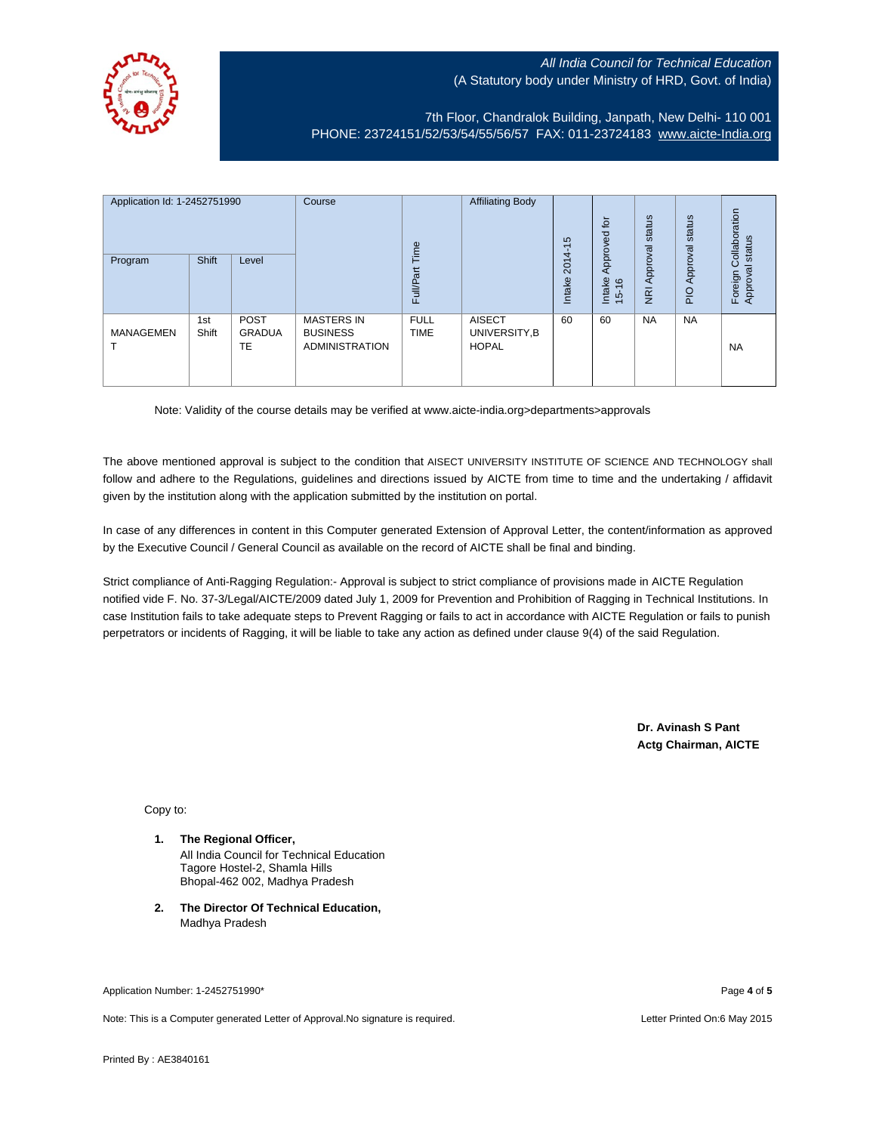

7th Floor, Chandralok Building, Janpath, New Delhi- 110 001 PHONE: 23724151/52/53/54/55/56/57 FAX: 011-23724183 [www.aicte-India.org](http://www.aicte-india.org/)

| Application Id: 1-2452751990<br>Program | <b>Shift</b> | Level                       | Course                                                        | Time<br><b>Full/Part</b>   | <b>Affiliating Body</b>                        | S<br>$\overline{\phantom{0}}$<br>2014<br>Intake | 흐<br>g<br>Approve<br>Intake<br>$\frac{6}{2}$<br>$\frac{1}{2}$ | status<br>Approval<br>$\overline{g}$ | status<br>Approval<br>$rac{O}{4}$ | Collaboration<br>status<br>त्त<br>Foreign<br>Approva |
|-----------------------------------------|--------------|-----------------------------|---------------------------------------------------------------|----------------------------|------------------------------------------------|-------------------------------------------------|---------------------------------------------------------------|--------------------------------------|-----------------------------------|------------------------------------------------------|
| <b>MANAGEMEN</b>                        | 1st<br>Shift | <b>POST</b><br>GRADUA<br>TE | <b>MASTERS IN</b><br><b>BUSINESS</b><br><b>ADMINISTRATION</b> | <b>FULL</b><br><b>TIME</b> | <b>AISECT</b><br>UNIVERSITY, B<br><b>HOPAL</b> | 60                                              | 60                                                            | <b>NA</b>                            | <b>NA</b>                         | <b>NA</b>                                            |

Note: Validity of the course details may be verified at www.aicte-india.org>departments>approvals

The above mentioned approval is subject to the condition that AISECT UNIVERSITY INSTITUTE OF SCIENCE AND TECHNOLOGY shall follow and adhere to the Regulations, guidelines and directions issued by AICTE from time to time and the undertaking / affidavit given by the institution along with the application submitted by the institution on portal.

In case of any differences in content in this Computer generated Extension of Approval Letter, the content/information as approved by the Executive Council / General Council as available on the record of AICTE shall be final and binding.

Strict compliance of Anti-Ragging Regulation:- Approval is subject to strict compliance of provisions made in AICTE Regulation notified vide F. No. 37-3/Legal/AICTE/2009 dated July 1, 2009 for Prevention and Prohibition of Ragging in Technical Institutions. In case Institution fails to take adequate steps to Prevent Ragging or fails to act in accordance with AICTE Regulation or fails to punish perpetrators or incidents of Ragging, it will be liable to take any action as defined under clause 9(4) of the said Regulation.

> **Dr. Avinash S Pant Actg Chairman, AICTE**

Copy to:

- **1. The Regional Officer,** All India Council for Technical Education Tagore Hostel-2, Shamla Hills Bhopal-462 002, Madhya Pradesh
- **2. The Director Of Technical Education,** Madhya Pradesh

Application Number: 1-2452751990\* Page **4** of **5**

Note: This is a Computer generated Letter of Approval.No signature is required. Letter Printed On:6 May 2015